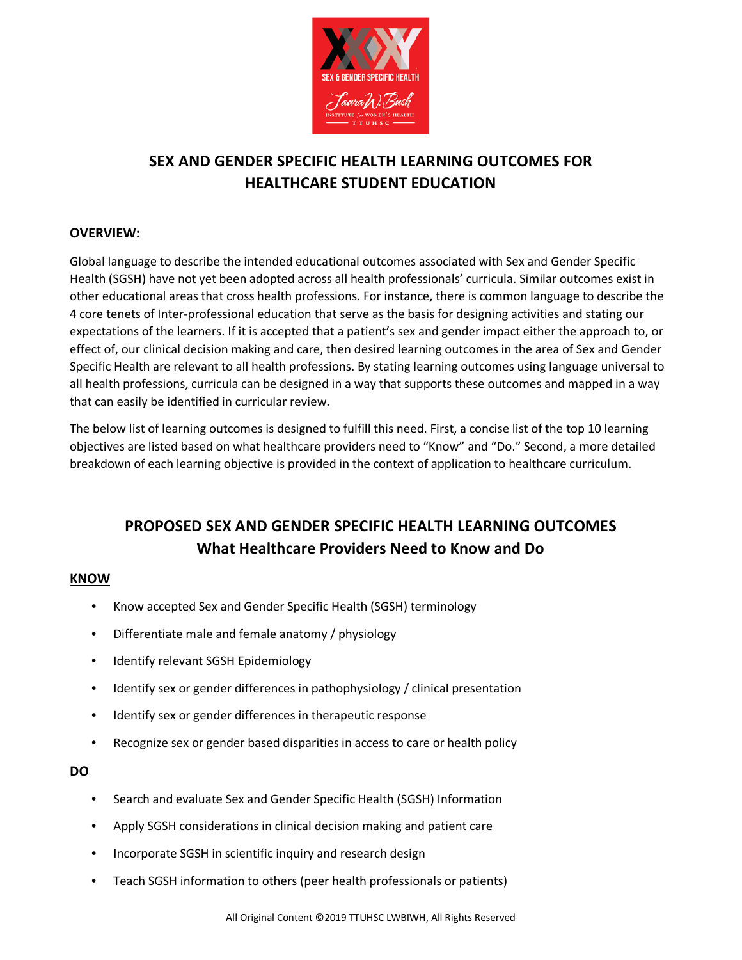

# **SEX AND GENDER SPECIFIC HEALTH LEARNING OUTCOMES FOR HEALTHCARE STUDENT EDUCATION**

# **OVERVIEW:**

Global language to describe the intended educational outcomes associated with Sex and Gender Specific Health (SGSH) have not yet been adopted across all health professionals' curricula. Similar outcomes exist in other educational areas that cross health professions. For instance, there is common language to describe the 4 core tenets of Inter-professional education that serve as the basis for designing activities and stating our expectations of the learners. If it is accepted that a patient's sex and gender impact either the approach to, or effect of, our clinical decision making and care, then desired learning outcomes in the area of Sex and Gender Specific Health are relevant to all health professions. By stating learning outcomes using language universal to all health professions, curricula can be designed in a way that supports these outcomes and mapped in a way that can easily be identified in curricular review.

The below list of learning outcomes is designed to fulfill this need. First, a concise list of the top 10 learning objectives are listed based on what healthcare providers need to "Know" and "Do." Second, a more detailed breakdown of each learning objective is provided in the context of application to healthcare curriculum.

# **PROPOSED SEX AND GENDER SPECIFIC HEALTH LEARNING OUTCOMES What Healthcare Providers Need to Know and Do**

## **KNOW**

- Know accepted Sex and Gender Specific Health (SGSH) terminology
- Differentiate male and female anatomy / physiology
- Identify relevant SGSH Epidemiology
- Identify sex or gender differences in pathophysiology / clinical presentation
- Identify sex or gender differences in therapeutic response
- Recognize sex or gender based disparities in access to care or health policy

## **DO**

- Search and evaluate Sex and Gender Specific Health (SGSH) Information
- Apply SGSH considerations in clinical decision making and patient care
- Incorporate SGSH in scientific inquiry and research design
- Teach SGSH information to others (peer health professionals or patients)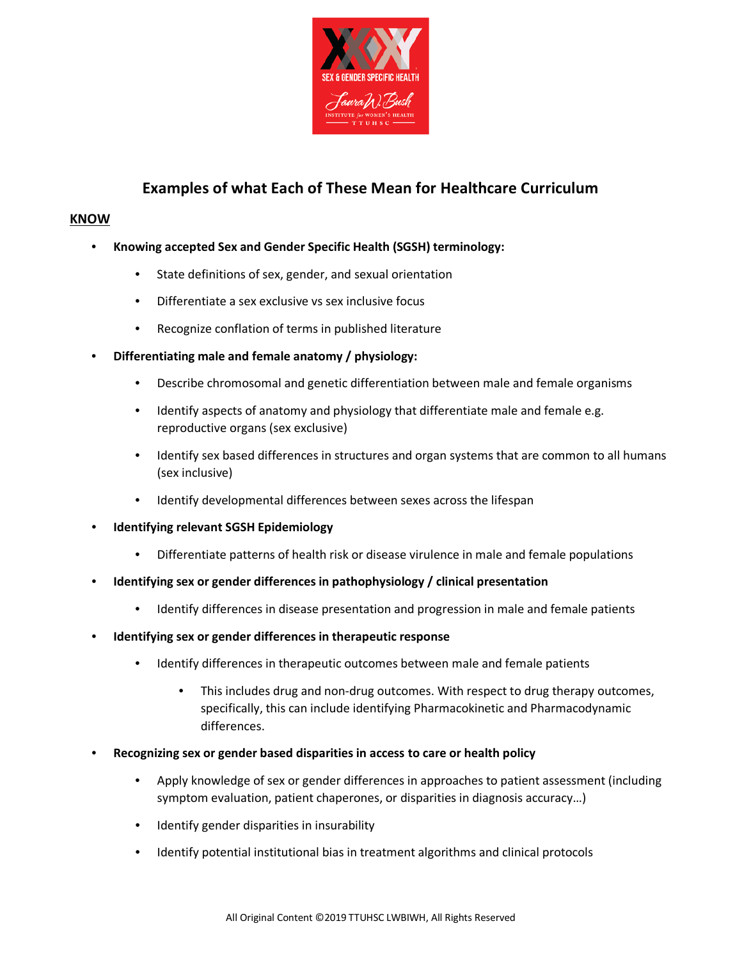

# **Examples of what Each of These Mean for Healthcare Curriculum**

#### **KNOW**

- **Knowing accepted Sex and Gender Specific Health (SGSH) terminology:**
	- State definitions of sex, gender, and sexual orientation
	- Differentiate a sex exclusive vs sex inclusive focus
	- Recognize conflation of terms in published literature
- **Differentiating male and female anatomy / physiology:**
	- Describe chromosomal and genetic differentiation between male and female organisms
	- Identify aspects of anatomy and physiology that differentiate male and female e.g. reproductive organs (sex exclusive)
	- Identify sex based differences in structures and organ systems that are common to all humans (sex inclusive)
	- Identify developmental differences between sexes across the lifespan
- **Identifying relevant SGSH Epidemiology**
	- Differentiate patterns of health risk or disease virulence in male and female populations
- **Identifying sex or gender differences in pathophysiology / clinical presentation**
	- Identify differences in disease presentation and progression in male and female patients
- **Identifying sex or gender differences in therapeutic response**
	- Identify differences in therapeutic outcomes between male and female patients
		- This includes drug and non-drug outcomes. With respect to drug therapy outcomes, specifically, this can include identifying Pharmacokinetic and Pharmacodynamic differences.
- **Recognizing sex or gender based disparities in access to care or health policy**
	- Apply knowledge of sex or gender differences in approaches to patient assessment (including symptom evaluation, patient chaperones, or disparities in diagnosis accuracy…)
	- Identify gender disparities in insurability
	- Identify potential institutional bias in treatment algorithms and clinical protocols